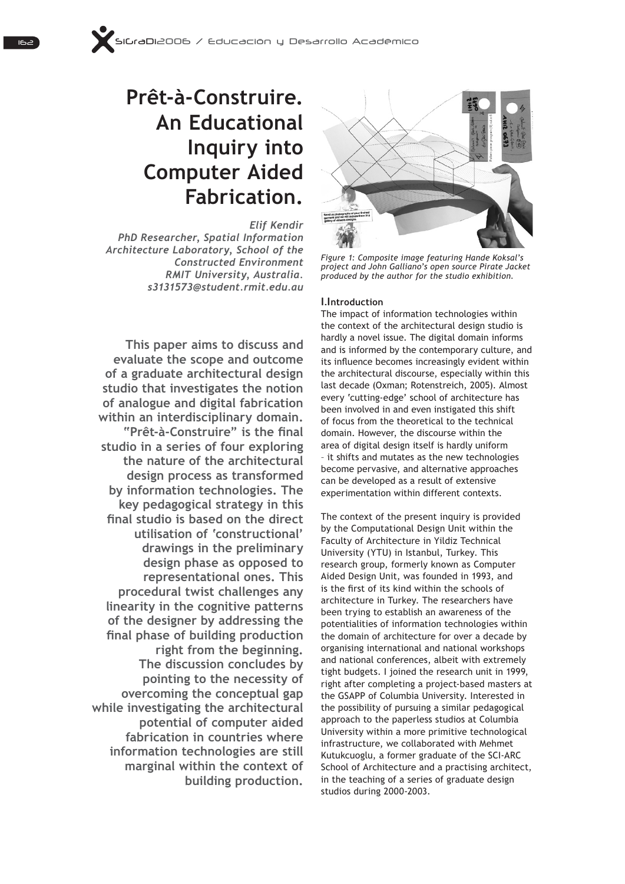# **Prêt-à-Construire. An Educational Inquiry into Computer Aided Fabrication.**

*Elif Kendir PhD Researcher, Spatial Information Architecture Laboratory, School of the Constructed Environment RMIT University, Australia. s3131573@student.rmit.edu.au*

**This paper aims to discuss and evaluate the scope and outcome of a graduate architectural design studio that investigates the notion of analogue and digital fabrication within an interdisciplinary domain. "Prêt-à-Construire"** is the final **studio in a series of four exploring the nature of the architectural design process as transformed by information technologies. The key pedagogical strategy in this**  final studio is based on the direct **utilisation of 'constructional' drawings in the preliminary design phase as opposed to representational ones. This procedural twist challenges any linearity in the cognitive patterns of the designer by addressing the**  final phase of building production **right from the beginning. The discussion concludes by pointing to the necessity of overcoming the conceptual gap while investigating the architectural potential of computer aided fabrication in countries where information technologies are still marginal within the context of building production.**



*Figure 1: Composite image featuring Hande Koksal's*  project and John Galliano's open source Pirate Jacket *produced by the author for the studio exhibition.*

## 1.I**ntroduction**

The impact of information technologies within the context of the architectural design studio is hardly a novel issue. The digital domain informs and is informed by the contemporary culture, and its influence becomes increasingly evident within the architectural discourse, especially within this last decade (Oxman; Rotenstreich, 2005). Almost every 'cutting-edge' school of architecture has been involved in and even instigated this shift of focus from the theoretical to the technical domain. However, the discourse within the area of digital design itself is hardly uniform - it shifts and mutates as the new technologies become pervasive, and alternative approaches can be developed as a result of extensive experimentation within different contexts.

The context of the present inquiry is provided by the Computational Design Unit within the Faculty of Architecture in Yildiz Technical University (YTU) in Istanbul, Turkey. This research group, formerly known as Computer Aided Design Unit, was founded in 1993, and is the first of its kind within the schools of architecture in Turkey. The researchers have been trying to establish an awareness of the potentialities of information technologies within the domain of architecture for over a decade by organising international and national workshops and national conferences, albeit with extremely tight budgets. I joined the research unit in 1999, right after completing a project-based masters at the GSAPP of Columbia University. Interested in the possibility of pursuing a similar pedagogical approach to the paperless studios at Columbia University within a more primitive technological infrastructure, we collaborated with Mehmet Kutukcuoglu, a former graduate of the SCI-ARC School of Architecture and a practising architect, in the teaching of a series of graduate design studios during 2000-2003.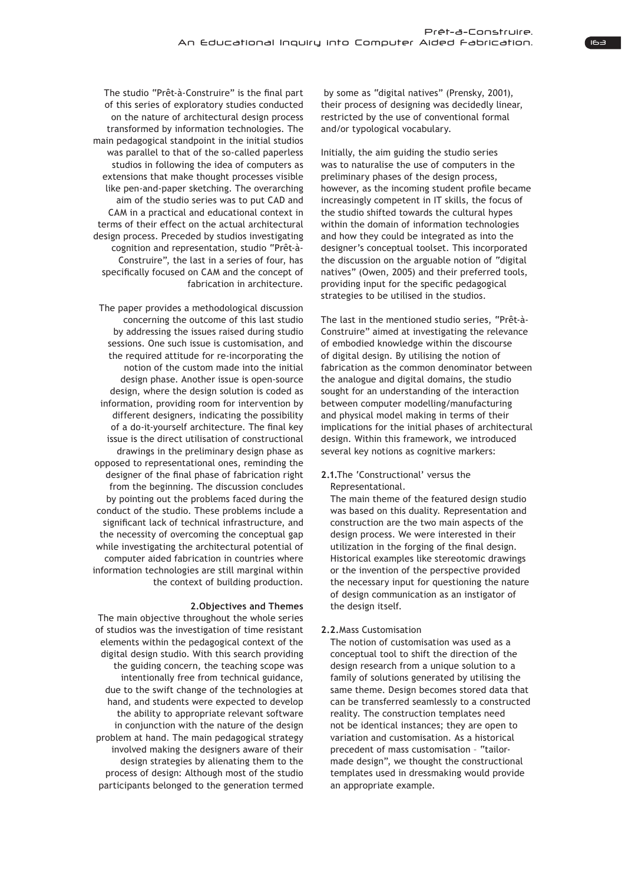The studio "Prêt-à-Construire" is the final part of this series of exploratory studies conducted on the nature of architectural design process transformed by information technologies. The main pedagogical standpoint in the initial studios was parallel to that of the so-called paperless studios in following the idea of computers as extensions that make thought processes visible like pen-and-paper sketching. The overarching aim of the studio series was to put CAD and CAM in a practical and educational context in terms of their effect on the actual architectural design process. Preceded by studios investigating cognition and representation, studio "Prêt-à-Construire", the last in a series of four, has specifically focused on CAM and the concept of fabrication in architecture.

The paper provides a methodological discussion concerning the outcome of this last studio by addressing the issues raised during studio sessions. One such issue is customisation, and the required attitude for re-incorporating the notion of the custom made into the initial design phase. Another issue is open-source design, where the design solution is coded as information, providing room for intervention by different designers, indicating the possibility of a do-it-yourself architecture. The final key issue is the direct utilisation of constructional drawings in the preliminary design phase as opposed to representational ones, reminding the designer of the final phase of fabrication right from the beginning. The discussion concludes by pointing out the problems faced during the conduct of the studio. These problems include a significant lack of technical infrastructure, and the necessity of overcoming the conceptual gap while investigating the architectural potential of computer aided fabrication in countries where information technologies are still marginal within the context of building production.

### 2. Objectives and Themes

The main objective throughout the whole series of studios was the investigation of time resistant elements within the pedagogical context of the digital design studio. With this search providing the guiding concern, the teaching scope was intentionally free from technical guidance. due to the swift change of the technologies at hand, and students were expected to develop the ability to appropriate relevant software in conjunction with the nature of the design problem at hand. The main pedagogical strategy involved making the designers aware of their design strategies by alienating them to the process of design: Although most of the studio participants belonged to the generation termed

by some as "digital natives" (Prensky, 2001), their process of designing was decidedly linear, restricted by the use of conventional formal and/or typological vocabulary.

Initially, the aim guiding the studio series was to naturalise the use of computers in the preliminary phases of the design process, however, as the incoming student profile became increasingly competent in IT skills, the focus of the studio shifted towards the cultural hypes within the domain of information technologies and how they could be integrated as into the designer's conceptual toolset. This incorporated the discussion on the arguable notion of "digital natives" (Owen, 2005) and their preferred tools, providing input for the specific pedagogical strategies to be utilised in the studios.

The last in the mentioned studio series, "Prêt-à-Construire" aimed at investigating the relevance of embodied knowledge within the discourse of digital design. By utilising the notion of fabrication as the common denominator between the analogue and digital domains, the studio sought for an understanding of the interaction between computer modelling/manufacturing and physical model making in terms of their implications for the initial phases of architectural design. Within this framework, we introduced several key notions as cognitive markers:

## 2.1. The 'Constructional' versus the Representational.

The main theme of the featured design studio was based on this duality. Representation and construction are the two main aspects of the design process. We were interested in their utilization in the forging of the final design. Historical examples like stereotomic drawings or the invention of the perspective provided the necessary input for questioning the nature of design communication as an instigator of the design itself.

## 2.2. Mass Customisation

The notion of customisation was used as a conceptual tool to shift the direction of the design research from a unique solution to a family of solutions generated by utilising the same theme. Design becomes stored data that can be transferred seamlessly to a constructed reality. The construction templates need not be identical instances; they are open to variation and customisation. As a historical precedent of mass customisation - "tailormade design", we thought the constructional templates used in dressmaking would provide an appropriate example.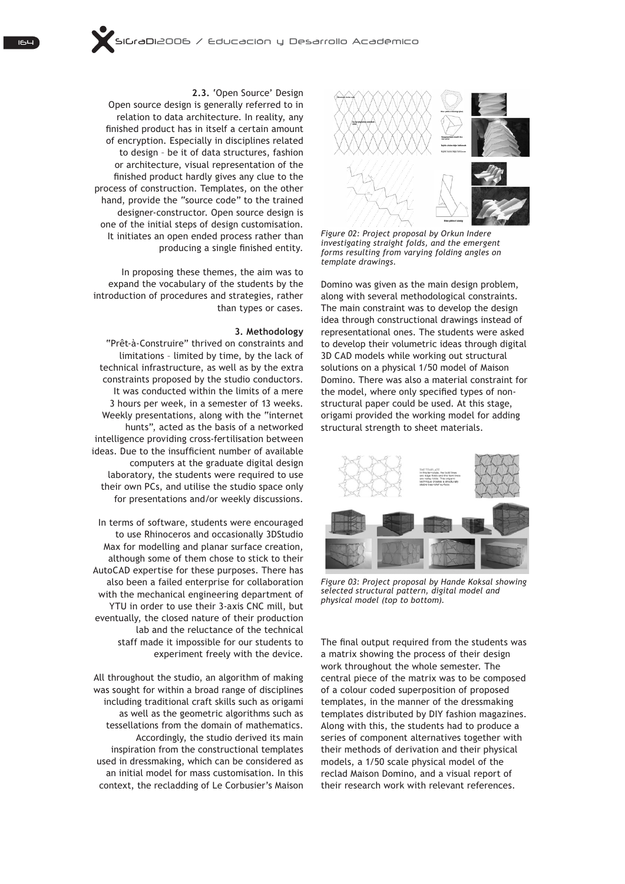

Figure 02: Project proposal by Orkun Indere investigating straight folds, and the emergent forms resulting from varying folding angles on template drawings.

Domino was given as the main design problem, along with several methodological constraints. The main constraint was to develop the design idea through constructional drawings instead of representational ones. The students were asked to develop their volumetric ideas through digital 3D CAD models while working out structural solutions on a physical 1/50 model of Maison Domino. There was also a material constraint for the model, where only specified types of nonstructural paper could be used. At this stage, origami provided the working model for adding structural strength to sheet materials.



Figure 03: Project proposal by Hande Koksal showing selected structural pattern, digital model and physical model (top to bottom).

The final output required from the students was a matrix showing the process of their design work throughout the whole semester. The central piece of the matrix was to be composed of a colour coded superposition of proposed templates, in the manner of the dressmaking templates distributed by DIY fashion magazines. Along with this, the students had to produce a series of component alternatives together with their methods of derivation and their physical models, a 1/50 scale physical model of the reclad Maison Domino, and a visual report of their research work with relevant references.

2.3. 'Open Source' Design Open source design is generally referred to in relation to data architecture. In reality, any finished product has in itself a certain amount of encryption. Especially in disciplines related to design - be it of data structures, fashion or architecture, visual representation of the finished product hardly gives any clue to the process of construction. Templates, on the other hand, provide the "source code" to the trained designer-constructor. Open source design is one of the initial steps of design customisation. It initiates an open ended process rather than producing a single finished entity.

In proposing these themes, the aim was to expand the vocabulary of the students by the introduction of procedures and strategies, rather than types or cases.

#### 3. Methodology

"Prêt-à-Construire" thrived on constraints and limitations - limited by time, by the lack of technical infrastructure, as well as by the extra constraints proposed by the studio conductors. It was conducted within the limits of a mere 3 hours per week, in a semester of 13 weeks. Weekly presentations, along with the "internet hunts", acted as the basis of a networked intelligence providing cross-fertilisation between ideas. Due to the insufficient number of available computers at the graduate digital design laboratory, the students were required to use their own PCs, and utilise the studio space only for presentations and/or weekly discussions.

In terms of software, students were encouraged to use Rhinoceros and occasionally 3DStudio Max for modelling and planar surface creation, although some of them chose to stick to their AutoCAD expertise for these purposes. There has also been a failed enterprise for collaboration with the mechanical engineering department of YTU in order to use their 3-axis CNC mill, but eventually, the closed nature of their production lab and the reluctance of the technical staff made it impossible for our students to experiment freely with the device.

All throughout the studio, an algorithm of making was sought for within a broad range of disciplines including traditional craft skills such as origami as well as the geometric algorithms such as tessellations from the domain of mathematics. Accordingly, the studio derived its main inspiration from the constructional templates used in dressmaking, which can be considered as an initial model for mass customisation. In this context, the recladding of Le Corbusier's Maison